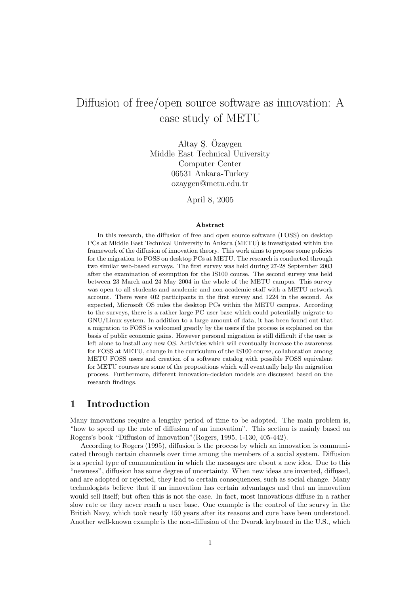# Diffusion of free/open source software as innovation: A case study of METU

Altay S. Özaygen Middle East Technical University Computer Center 06531 Ankara-Turkey ozaygen@metu.edu.tr

April 8, 2005

#### Abstract

In this research, the diffusion of free and open source software (FOSS) on desktop PCs at Middle East Technical University in Ankara (METU) is investigated within the framework of the diffusion of innovation theory. This work aims to propose some policies for the migration to FOSS on desktop PCs at METU. The research is conducted through two similar web-based surveys. The first survey was held during 27-28 September 2003 after the examination of exemption for the IS100 course. The second survey was held between 23 March and 24 May 2004 in the whole of the METU campus. This survey was open to all students and academic and non-academic staff with a METU network account. There were 402 participants in the first survey and 1224 in the second. As expected, Microsoft OS rules the desktop PCs within the METU campus. According to the surveys, there is a rather large PC user base which could potentially migrate to GNU/Linux system. In addition to a large amount of data, it has been found out that a migration to FOSS is welcomed greatly by the users if the process is explained on the basis of public economic gains. However personal migration is still difficult if the user is left alone to install any new OS. Activities which will eventually increase the awareness for FOSS at METU, change in the curriculum of the IS100 course, collaboration among METU FOSS users and creation of a software catalog with possible FOSS equivalent for METU courses are some of the propositions which will eventually help the migration process. Furthermore, different innovation-decision models are discussed based on the research findings.

## 1 Introduction

Many innovations require a lengthy period of time to be adopted. The main problem is, "how to speed up the rate of diffusion of an innovation". This section is mainly based on Rogers's book "Diffusion of Innovation"(Rogers, 1995, 1-130, 405-442).

According to Rogers (1995), diffusion is the process by which an innovation is communicated through certain channels over time among the members of a social system. Diffusion is a special type of communication in which the messages are about a new idea. Due to this "newness", diffusion has some degree of uncertainty. When new ideas are invented, diffused, and are adopted or rejected, they lead to certain consequences, such as social change. Many technologists believe that if an innovation has certain advantages and that an innovation would sell itself; but often this is not the case. In fact, most innovations diffuse in a rather slow rate or they never reach a user base. One example is the control of the scurvy in the British Navy, which took nearly 150 years after its reasons and cure have been understood. Another well-known example is the non-diffusion of the Dvorak keyboard in the U.S., which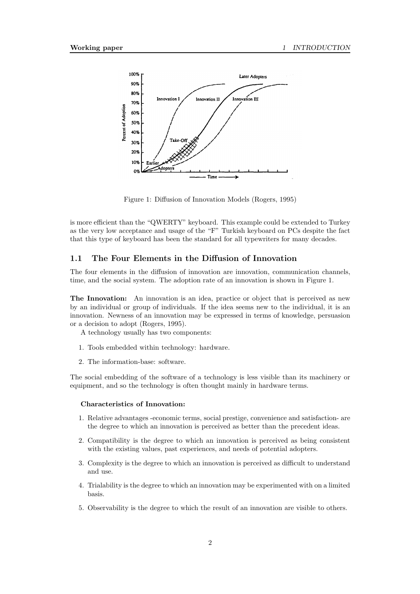

Figure 1: Diffusion of Innovation Models (Rogers, 1995)

is more efficient than the "QWERTY" keyboard. This example could be extended to Turkey as the very low acceptance and usage of the "F" Turkish keyboard on PCs despite the fact that this type of keyboard has been the standard for all typewriters for many decades.

## 1.1 The Four Elements in the Diffusion of Innovation

The four elements in the diffusion of innovation are innovation, communication channels, time, and the social system. The adoption rate of an innovation is shown in Figure 1.

The Innovation: An innovation is an idea, practice or object that is perceived as new by an individual or group of individuals. If the idea seems new to the individual, it is an innovation. Newness of an innovation may be expressed in terms of knowledge, persuasion or a decision to adopt (Rogers, 1995).

- A technology usually has two components:
- 1. Tools embedded within technology: hardware.
- 2. The information-base: software.

The social embedding of the software of a technology is less visible than its machinery or equipment, and so the technology is often thought mainly in hardware terms.

#### Characteristics of Innovation:

- 1. Relative advantages -economic terms, social prestige, convenience and satisfaction- are the degree to which an innovation is perceived as better than the precedent ideas.
- 2. Compatibility is the degree to which an innovation is perceived as being consistent with the existing values, past experiences, and needs of potential adopters.
- 3. Complexity is the degree to which an innovation is perceived as difficult to understand and use.
- 4. Trialability is the degree to which an innovation may be experimented with on a limited basis.
- 5. Observability is the degree to which the result of an innovation are visible to others.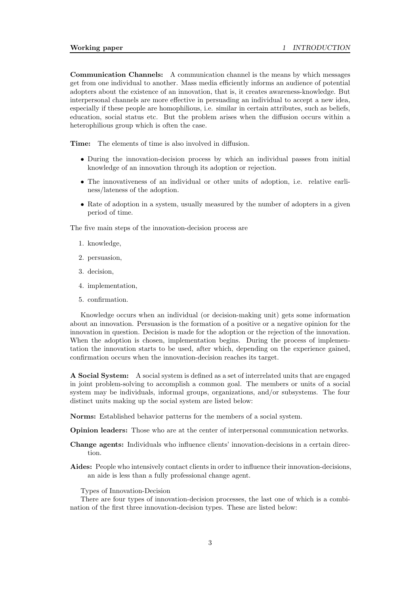Communication Channels: A communication channel is the means by which messages get from one individual to another. Mass media efficiently informs an audience of potential adopters about the existence of an innovation, that is, it creates awareness-knowledge. But interpersonal channels are more effective in persuading an individual to accept a new idea, especially if these people are homophilious, i.e. similar in certain attributes, such as beliefs, education, social status etc. But the problem arises when the diffusion occurs within a heterophilious group which is often the case.

Time: The elements of time is also involved in diffusion.

- During the innovation-decision process by which an individual passes from initial knowledge of an innovation through its adoption or rejection.
- The innovativeness of an individual or other units of adoption, i.e. relative earliness/lateness of the adoption.
- Rate of adoption in a system, usually measured by the number of adopters in a given period of time.

The five main steps of the innovation-decision process are

- 1. knowledge,
- 2. persuasion,
- 3. decision,
- 4. implementation,
- 5. confirmation.

Knowledge occurs when an individual (or decision-making unit) gets some information about an innovation. Persuasion is the formation of a positive or a negative opinion for the innovation in question. Decision is made for the adoption or the rejection of the innovation. When the adoption is chosen, implementation begins. During the process of implementation the innovation starts to be used, after which, depending on the experience gained, confirmation occurs when the innovation-decision reaches its target.

A Social System: A social system is defined as a set of interrelated units that are engaged in joint problem-solving to accomplish a common goal. The members or units of a social system may be individuals, informal groups, organizations, and/or subsystems. The four distinct units making up the social system are listed below:

Norms: Established behavior patterns for the members of a social system.

Opinion leaders: Those who are at the center of interpersonal communication networks.

- Change agents: Individuals who influence clients' innovation-decisions in a certain direction.
- Aides: People who intensively contact clients in order to influence their innovation-decisions, an aide is less than a fully professional change agent.

Types of Innovation-Decision

There are four types of innovation-decision processes, the last one of which is a combination of the first three innovation-decision types. These are listed below: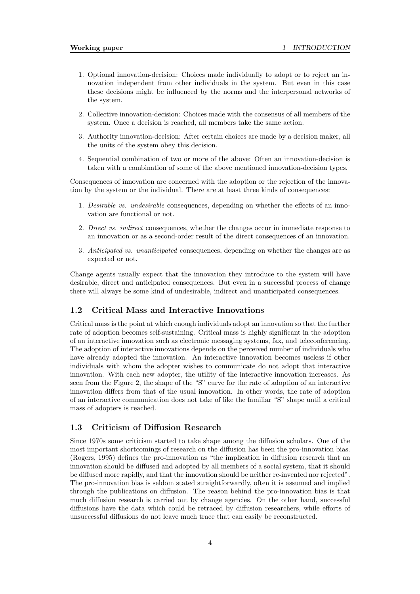- 1. Optional innovation-decision: Choices made individually to adopt or to reject an innovation independent from other individuals in the system. But even in this case these decisions might be influenced by the norms and the interpersonal networks of the system.
- 2. Collective innovation-decision: Choices made with the consensus of all members of the system. Once a decision is reached, all members take the same action.
- 3. Authority innovation-decision: After certain choices are made by a decision maker, all the units of the system obey this decision.
- 4. Sequential combination of two or more of the above: Often an innovation-decision is taken with a combination of some of the above mentioned innovation-decision types.

Consequences of innovation are concerned with the adoption or the rejection of the innovation by the system or the individual. There are at least three kinds of consequences:

- 1. Desirable vs. undesirable consequences, depending on whether the effects of an innovation are functional or not.
- 2. Direct vs. indirect consequences, whether the changes occur in immediate response to an innovation or as a second-order result of the direct consequences of an innovation.
- 3. Anticipated vs. unanticipated consequences, depending on whether the changes are as expected or not.

Change agents usually expect that the innovation they introduce to the system will have desirable, direct and anticipated consequences. But even in a successful process of change there will always be some kind of undesirable, indirect and unanticipated consequences.

#### 1.2 Critical Mass and Interactive Innovations

Critical mass is the point at which enough individuals adopt an innovation so that the further rate of adoption becomes self-sustaining. Critical mass is highly significant in the adoption of an interactive innovation such as electronic messaging systems, fax, and teleconferencing. The adoption of interactive innovations depends on the perceived number of individuals who have already adopted the innovation. An interactive innovation becomes useless if other individuals with whom the adopter wishes to communicate do not adopt that interactive innovation. With each new adopter, the utility of the interactive innovation increases. As seen from the Figure 2, the shape of the "S" curve for the rate of adoption of an interactive innovation differs from that of the usual innovation. In other words, the rate of adoption of an interactive communication does not take of like the familiar "S" shape until a critical mass of adopters is reached.

#### 1.3 Criticism of Diffusion Research

Since 1970s some criticism started to take shape among the diffusion scholars. One of the most important shortcomings of research on the diffusion has been the pro-innovation bias. (Rogers, 1995) defines the pro-innovation as "the implication in diffusion research that an innovation should be diffused and adopted by all members of a social system, that it should be diffused more rapidly, and that the innovation should be neither re-invented nor rejected". The pro-innovation bias is seldom stated straightforwardly, often it is assumed and implied through the publications on diffusion. The reason behind the pro-innovation bias is that much diffusion research is carried out by change agencies. On the other hand, successful diffusions have the data which could be retraced by diffusion researchers, while efforts of unsuccessful diffusions do not leave much trace that can easily be reconstructed.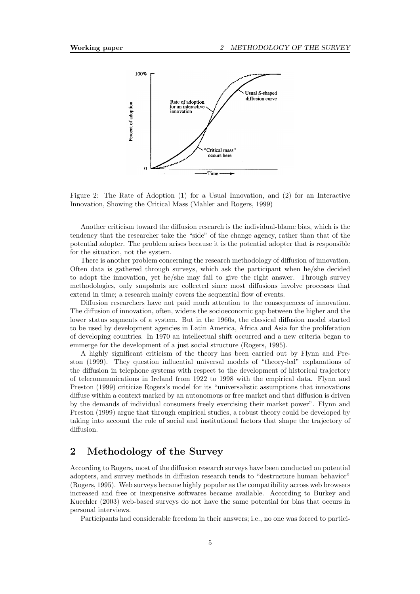

Figure 2: The Rate of Adoption (1) for a Usual Innovation, and (2) for an Interactive Innovation, Showing the Critical Mass (Mahler and Rogers, 1999)

Another criticism toward the diffusion research is the individual-blame bias, which is the tendency that the researcher take the "side" of the change agency, rather than that of the potential adopter. The problem arises because it is the potential adopter that is responsible for the situation, not the system.

There is another problem concerning the research methodology of diffusion of innovation. Often data is gathered through surveys, which ask the participant when he/she decided to adopt the innovation, yet he/she may fail to give the right answer. Through survey methodologies, only snapshots are collected since most diffusions involve processes that extend in time; a research mainly covers the sequential flow of events.

Diffusion researchers have not paid much attention to the consequences of innovation. The diffusion of innovation, often, widens the socioeconomic gap between the higher and the lower status segments of a system. But in the 1960s, the classical diffusion model started to be used by development agencies in Latin America, Africa and Asia for the proliferation of developing countries. In 1970 an intellectual shift occurred and a new criteria began to emmerge for the development of a just social structure (Rogers, 1995).

A highly significant criticism of the theory has been carried out by Flynn and Preston (1999). They question influential universal models of "theory-led" explanations of the diffusion in telephone systems with respect to the development of historical trajectory of telecommunications in Ireland from 1922 to 1998 with the empirical data. Flynn and Preston (1999) criticize Rogers's model for its "universalistic assumptions that innovations diffuse within a context marked by an autonomous or free market and that diffusion is driven by the demands of individual consumers freely exercising their market power". Flynn and Preston (1999) argue that through empirical studies, a robust theory could be developed by taking into account the role of social and institutional factors that shape the trajectory of diffusion.

# 2 Methodology of the Survey

According to Rogers, most of the diffusion research surveys have been conducted on potential adopters, and survey methods in diffusion research tends to "destructure human behavior" (Rogers, 1995). Web surveys became highly popular as the compatibility across web browsers increased and free or inexpensive softwares became available. According to Burkey and Kuechler (2003) web-based surveys do not have the same potential for bias that occurs in personal interviews.

Participants had considerable freedom in their answers; i.e., no one was forced to partici-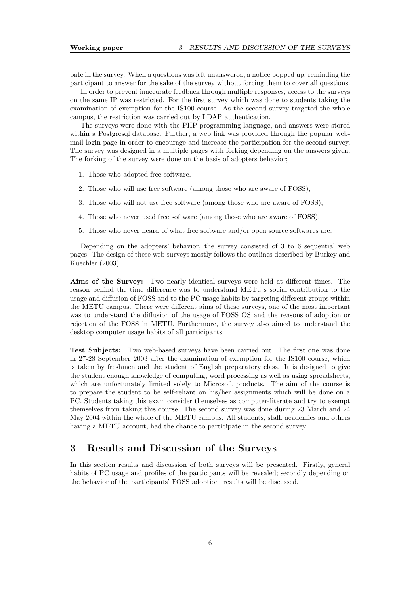pate in the survey. When a questions was left unanswered, a notice popped up, reminding the participant to answer for the sake of the survey without forcing them to cover all questions.

In order to prevent inaccurate feedback through multiple responses, access to the surveys on the same IP was restricted. For the first survey which was done to students taking the examination of exemption for the IS100 course. As the second survey targeted the whole campus, the restriction was carried out by LDAP authentication.

The surveys were done with the PHP programming language, and answers were stored within a Postgresql database. Further, a web link was provided through the popular webmail login page in order to encourage and increase the participation for the second survey. The survey was designed in a multiple pages with forking depending on the answers given. The forking of the survey were done on the basis of adopters behavior;

- 1. Those who adopted free software,
- 2. Those who will use free software (among those who are aware of FOSS),
- 3. Those who will not use free software (among those who are aware of FOSS),
- 4. Those who never used free software (among those who are aware of FOSS),
- 5. Those who never heard of what free software and/or open source softwares are.

Depending on the adopters' behavior, the survey consisted of 3 to 6 sequential web pages. The design of these web surveys mostly follows the outlines described by Burkey and Kuechler (2003).

Aims of the Survey: Two nearly identical surveys were held at different times. The reason behind the time difference was to understand METU's social contribution to the usage and diffusion of FOSS and to the PC usage habits by targeting different groups within the METU campus. There were different aims of these surveys, one of the most important was to understand the diffusion of the usage of FOSS OS and the reasons of adoption or rejection of the FOSS in METU. Furthermore, the survey also aimed to understand the desktop computer usage habits of all participants.

Test Subjects: Two web-based surveys have been carried out. The first one was done in 27-28 September 2003 after the examination of exemption for the IS100 course, which is taken by freshmen and the student of English preparatory class. It is designed to give the student enough knowledge of computing, word processing as well as using spreadsheets, which are unfortunately limited solely to Microsoft products. The aim of the course is to prepare the student to be self-reliant on his/her assignments which will be done on a PC. Students taking this exam consider themselves as computer-literate and try to exempt themselves from taking this course. The second survey was done during 23 March and 24 May 2004 within the whole of the METU campus. All students, staff, academics and others having a METU account, had the chance to participate in the second survey.

## 3 Results and Discussion of the Surveys

In this section results and discussion of both surveys will be presented. Firstly, general habits of PC usage and profiles of the participants will be revealed; secondly depending on the behavior of the participants' FOSS adoption, results will be discussed.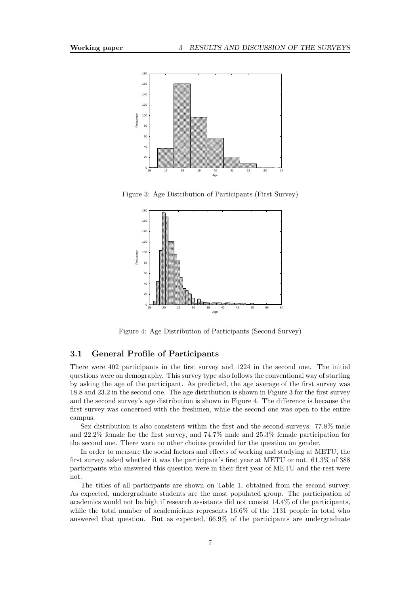

Figure 3: Age Distribution of Participants (First Survey)



Figure 4: Age Distribution of Participants (Second Survey)

### 3.1 General Profile of Participants

There were 402 participants in the first survey and 1224 in the second one. The initial questions were on demography. This survey type also follows the conventional way of starting by asking the age of the participant. As predicted, the age average of the first survey was 18.8 and 23.2 in the second one. The age distribution is shown in Figure 3 for the first survey and the second survey's age distribution is shown in Figure 4. The difference is because the first survey was concerned with the freshmen, while the second one was open to the entire campus.

Sex distribution is also consistent within the first and the second surveys: 77.8% male and 22.2% female for the first survey, and 74.7% male and 25.3% female participation for the second one. There were no other choices provided for the question on gender.

In order to measure the social factors and effects of working and studying at METU, the first survey asked whether it was the participant's first year at METU or not. 61.3% of 388 participants who answered this question were in their first year of METU and the rest were not.

The titles of all participants are shown on Table 1, obtained from the second survey. As expected, undergraduate students are the most populated group. The participation of academics would not be high if research assistants did not consist 14.4% of the participants, while the total number of academicians represents 16.6% of the 1131 people in total who answered that question. But as expected, 66.9% of the participants are undergraduate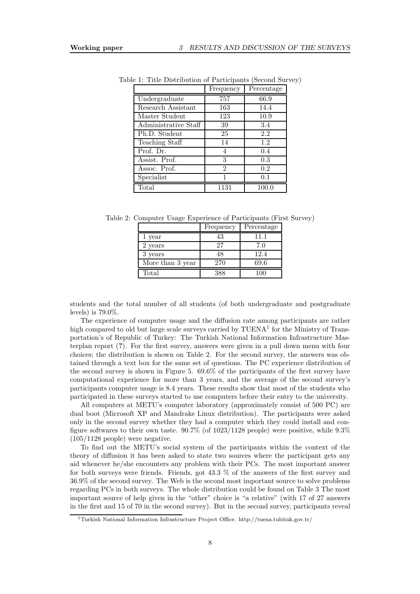|                      | Frequency      | Percentage |
|----------------------|----------------|------------|
| Undergraduate        | 757            | 66.9       |
| Research Assistant   | 163            | 14.4       |
| Master Student       | 123            | 10.9       |
| Administrative Staff | 39             | 3.4        |
| Ph.D. Student        | 25             | 2.2        |
| Teaching Staff       | 14             | 1.2        |
| Prof. Dr.            | 4              | 0.4        |
| Assist. Prof.        | 3              | 0.3        |
| Assoc. Prof.         | $\overline{2}$ | 0.2        |
| Specialist           | 1              | 0.1        |
| Total                | 1131           | 100.0      |

Table 1: Title Distribution of Participants (Second Survey)

Table 2: Computer Usage Experience of Participants (First Survey)

|                    | Frequency | Percentage |
|--------------------|-----------|------------|
| 1 year             | 43        | 11.1       |
| 2 years            | 27        | 7.0        |
| 3 years            | 48        | 12.4       |
| More than $3$ year | 270       | 69.6       |
| Total              | -288      | 100        |

students and the total number of all students (of both undergraduate and postgraduate levels) is 79.0%.

The experience of computer usage and the diffusion rate among participants are rather high compared to old but large scale surveys carried by TUENA<sup>1</sup> for the Ministry of Transportation's of Republic of Turkey: The Turkish National Information Infrastructure Masterplan report (?). For the first survey, answers were given in a pull down menu with four choices; the distribution is shown on Table 2. For the second survey, the answers was obtained through a text box for the same set of questions. The PC experience distribution of the second survey is shown in Figure 5. 69.6% of the participants of the first survey have computational experience for more than 3 years, and the average of the second survey's participants computer usage is 8.4 years. These results show that most of the students who participated in these surveys started to use computers before their entry to the university.

All computers at METU's computer laboratory (approximately consist of 500 PC) are dual boot (Microsoft XP and Mandrake Linux distribution). The participants were asked only in the second survey whether they had a computer which they could install and configure softwares to their own taste.  $90.7\%$  (of  $1023/1128$  people) were positive, while  $9.3\%$ (105/1128 people) were negative.

To find out the METU's social system of the participants within the context of the theory of diffusion it has been asked to state two sources where the participant gets any aid whenever he/she encounters any problem with their PCs. The most important answer for both surveys were friends. Friends, got 43.3 % of the answers of the first survey and 36.9% of the second survey. The Web is the second most important source to solve problems regarding PCs in both surveys. The whole distribution could be found on Table 3 The most important source of help given in the "other" choice is "a relative" (with 17 of 27 answers in the first and 15 of 70 in the second survey). But in the second survey, participants reveal

<sup>1</sup>Turkish National Information Infrastructure Project Office. http://tuena.tubitak.gov.tr/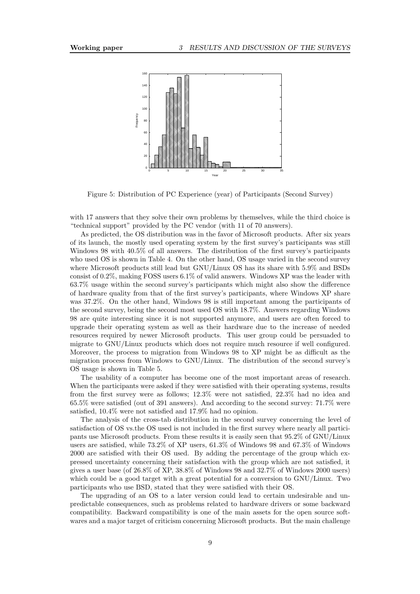

Figure 5: Distribution of PC Experience (year) of Participants (Second Survey)

with 17 answers that they solve their own problems by themselves, while the third choice is "technical support" provided by the PC vendor (with 11 of 70 answers).

As predicted, the OS distribution was in the favor of Microsoft products. After six years of its launch, the mostly used operating system by the first survey's participants was still Windows 98 with 40.5% of all answers. The distribution of the first survey's participants who used OS is shown in Table 4. On the other hand, OS usage varied in the second survey where Microsoft products still lead but GNU/Linux OS has its share with 5.9% and BSDs consist of 0.2%, making FOSS users 6.1% of valid answers. Windows XP was the leader with 63.7% usage within the second survey's participants which might also show the difference of hardware quality from that of the first survey's participants, where Windows XP share was 37.2%. On the other hand, Windows 98 is still important among the participants of the second survey, being the second most used OS with 18.7%. Answers regarding Windows 98 are quite interesting since it is not supported anymore, and users are often forced to upgrade their operating system as well as their hardware due to the increase of needed resources required by newer Microsoft products. This user group could be persuaded to migrate to GNU/Linux products which does not require much resource if well configured. Moreover, the process to migration from Windows 98 to XP might be as difficult as the migration process from Windows to GNU/Linux. The distribution of the second survey's OS usage is shown in Table 5.

The usability of a computer has become one of the most important areas of research. When the participants were asked if they were satisfied with their operating systems, results from the first survey were as follows; 12.3% were not satisfied, 22.3% had no idea and 65.5% were satisfied (out of 391 answers). And according to the second survey: 71.7% were satisfied, 10.4% were not satisfied and 17.9% had no opinion.

The analysis of the cross-tab distribution in the second survey concerning the level of satisfaction of OS vs.the OS used is not included in the first survey where nearly all participants use Microsoft products. From these results it is easily seen that 95.2% of GNU/Linux users are satisfied, while 73.2% of XP users, 61.3% of Windows 98 and 67.3% of Windows 2000 are satisfied with their OS used. By adding the percentage of the group which expressed uncertainty concerning their satisfaction with the group which are not satisfied, it gives a user base (of 26.8% of XP, 38.8% of Windows 98 and 32.7% of Windows 2000 users) which could be a good target with a great potential for a conversion to  $\text{GNU/Linux.}$  Two participants who use BSD, stated that they were satisfied with their OS.

The upgrading of an OS to a later version could lead to certain undesirable and unpredictable consequences, such as problems related to hardware drivers or some backward compatibility. Backward compatibility is one of the main assets for the open source softwares and a major target of criticism concerning Microsoft products. But the main challenge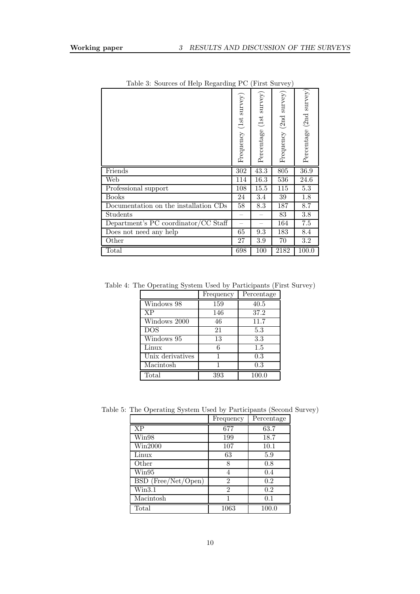|                                       | Frequency (1st survey) | $s$ urvey $)$<br>Percentage (1st | $s$ urvey $)$<br>Frequency (2nd | Percentage (2nd survey) |
|---------------------------------------|------------------------|----------------------------------|---------------------------------|-------------------------|
| Friends                               | 302                    | 43.3                             | 805                             | 36.9                    |
| Web                                   | 114                    | 16.3                             | 536                             | 24.6                    |
| Professional support                  | 108                    | 15.5                             | 115                             | $5.3\,$                 |
| <b>Books</b>                          | 24                     | 3.4                              | 39                              | 1.8                     |
| Documentation on the installation CDs | 58                     | 8.3                              | 187                             | 8.7                     |
| Students                              |                        |                                  | 83                              | 3.8                     |
| Department's PC coordinator/CC Staff  |                        |                                  | 164                             | $\overline{7.5}$        |
| Does not need any help                | 65                     | 9.3                              | 183                             | 8.4                     |
| Other                                 | 27                     | 3.9                              | 70                              | $3.2\,$                 |
| Total                                 | 698                    | 100                              | 2182                            | 100.0                   |

Table 3: Sources of Help Regarding PC (First Survey)

Table 4: The Operating System Used by Participants (First Survey)

|                  | Frequency | Percentage |
|------------------|-----------|------------|
| Windows 98       | 159       | 40.5       |
| <b>XP</b>        | 146       | 37.2       |
| Windows 2000     | 46        | 11.7       |
| DOS              | 21        | 5.3        |
| Windows 95       | 13        | 3.3        |
| Linux            | 6         | 1.5        |
| Unix derivatives |           | 0.3        |
| Macintosh        | 1         | 0.3        |
| Total            | 393       | 100.0      |

Table 5: The Operating System Used by Participants (Second Survey)

|                        | Frequency      | Percentage |
|------------------------|----------------|------------|
| <b>XP</b>              | 677            | 63.7       |
| Win98                  | 199            | 18.7       |
| Win2000                | 107            | 10.1       |
| Linux                  | 63             | 5.9        |
| Other                  | 8              | 0.8        |
| $\operatorname{Win95}$ | 4              | 0.4        |
| BSD (Free/Net/Open)    | $\overline{2}$ | 0.2        |
| $_{\rm Win3.1}$        | $\overline{2}$ | 0.2        |
| Macintosh              | 1              | 0.1        |
| Total                  | 1063           | 100.0      |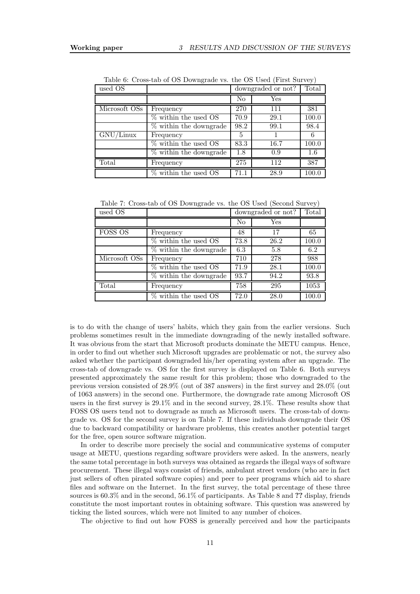| used OS       |                          |                | downgraded or not? |       |
|---------------|--------------------------|----------------|--------------------|-------|
|               |                          | N <sub>o</sub> | Yes                |       |
| Microsoft OSs | Frequency                | 270            | 111                | 381   |
|               | $\%$ within the used OS  | 70.9           | 29.1               | 100.0 |
|               | $%$ within the downgrade | 98.2           | 99.1               | 98.4  |
| GNU/Linux     | Frequency                | 5              |                    | 6     |
|               | $\%$ within the used OS  | 83.3           | 16.7               | 100.0 |
|               | % within the downgrade   | 1.8            | 0.9                | 1.6   |
| Total         | Frequency                | 275            | 112                | 387   |
|               | $\%$ within the used OS  | 71.1           | 28.9               | 100.0 |

Table 6: Cross-tab of OS Downgrade vs. the OS Used (First Survey)

Table 7: Cross-tab of OS Downgrade vs. the OS Used (Second Survey)

| used OS        |                           |      | downgraded or not? |       |
|----------------|---------------------------|------|--------------------|-------|
|                |                           | No   | Yes                |       |
| <b>FOSS OS</b> | Frequency                 | 48   | 17                 | 65    |
|                | % within the used OS      | 73.8 | 26.2               | 100.0 |
|                | % within the downgrade    | 6.3  | 5.8                | 6.2   |
| Microsoft OSs  | Frequency                 | 710  | 278                | 988   |
|                | % within the used OS      | 71.9 | 28.1               | 100.0 |
|                | $\%$ within the downgrade | 93.7 | 94.2               | 93.8  |
| Total          | Frequency                 | 758  | 295                | 1053  |
|                | $%$ within the used OS    | 72.0 | 28.0               | 100.0 |

is to do with the change of users' habits, which they gain from the earlier versions. Such problems sometimes result in the immediate downgrading of the newly installed software. It was obvious from the start that Microsoft products dominate the METU campus. Hence, in order to find out whether such Microsoft upgrades are problematic or not, the survey also asked whether the participant downgraded his/her operating system after an upgrade. The cross-tab of downgrade vs. OS for the first survey is displayed on Table 6. Both surveys presented approximately the same result for this problem; those who downgraded to the previous version consisted of 28.9% (out of 387 answers) in the first survey and 28.0% (out of 1063 answers) in the second one. Furthermore, the downgrade rate among Microsoft OS users in the first survey is 29.1% and in the second survey, 28.1%. These results show that FOSS OS users tend not to downgrade as much as Microsoft users. The cross-tab of downgrade vs. OS for the second survey is on Table 7. If these individuals downgrade their OS due to backward compatibility or hardware problems, this creates another potential target for the free, open source software migration.

In order to describe more precisely the social and communicative systems of computer usage at METU, questions regarding software providers were asked. In the answers, nearly the same total percentage in both surveys was obtained as regards the illegal ways of software procurement. These illegal ways consist of friends, ambulant street vendors (who are in fact just sellers of often pirated software copies) and peer to peer programs which aid to share files and software on the Internet. In the first survey, the total percentage of these three sources is 60.3% and in the second, 56.1% of participants. As Table 8 and ?? display, friends constitute the most important routes in obtaining software. This question was answered by ticking the listed sources, which were not limited to any number of choices.

The objective to find out how FOSS is generally perceived and how the participants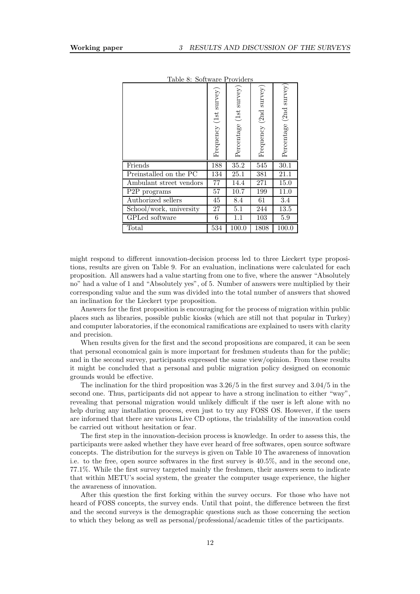| Table 8: Software Providers |                        |                         |                        |                         |
|-----------------------------|------------------------|-------------------------|------------------------|-------------------------|
|                             | Frequency (1st survey) | Percentage (1st survey) | Frequency (2nd survey) | Percentage (2nd survey) |
| Friends                     | 188                    | $\overline{35.2}$       | 545                    | 30.1                    |
| Preinstalled on the PC      | 134                    | 25.1                    | 381                    | $21.\overline{1}$       |
| Ambulant street vendors     | 77                     | 14.4                    | 271                    | 15.0                    |
| P <sub>2</sub> P programs   | 57                     | 10.7                    | 199                    | 11.0                    |
| Authorized sellers          | 45                     | 8.4                     | 61                     | 3.4                     |
| School/work, university     | 27                     | 5.1                     | 244                    | 13.5                    |
|                             |                        |                         |                        |                         |
| GPLed software              | 6                      | 1.1                     | 103                    | $5.9$                   |

Table 8: Software Providers

might respond to different innovation-decision process led to three Lieckert type propositions, results are given on Table 9. For an evaluation, inclinations were calculated for each proposition. All answers had a value starting from one to five, where the answer "Absolutely no" had a value of 1 and "Absolutely yes", of 5. Number of answers were multiplied by their corresponding value and the sum was divided into the total number of answers that showed an inclination for the Lieckert type proposition.

Answers for the first proposition is encouraging for the process of migration within public places such as libraries, possible public kiosks (which are still not that popular in Turkey) and computer laboratories, if the economical ramifications are explained to users with clarity and precision.

When results given for the first and the second propositions are compared, it can be seen that personal economical gain is more important for freshmen students than for the public; and in the second survey, participants expressed the same view/opinion. From these results it might be concluded that a personal and public migration policy designed on economic grounds would be effective.

The inclination for the third proposition was 3.26/5 in the first survey and 3.04/5 in the second one. Thus, participants did not appear to have a strong inclination to either "way", revealing that personal migration would unlikely difficult if the user is left alone with no help during any installation process, even just to try any FOSS OS. However, if the users are informed that there are various Live CD options, the trialability of the innovation could be carried out without hesitation or fear.

The first step in the innovation-decision process is knowledge. In order to assess this, the participants were asked whether they have ever heard of free softwares, open source software concepts. The distribution for the surveys is given on Table 10 The awareness of innovation i.e. to the free, open source softwares in the first survey is 40.5%, and in the second one, 77.1%. While the first survey targeted mainly the freshmen, their answers seem to indicate that within METU's social system, the greater the computer usage experience, the higher the awareness of innovation.

After this question the first forking within the survey occurs. For those who have not heard of FOSS concepts, the survey ends. Until that point, the difference between the first and the second surveys is the demographic questions such as those concerning the section to which they belong as well as personal/professional/academic titles of the participants.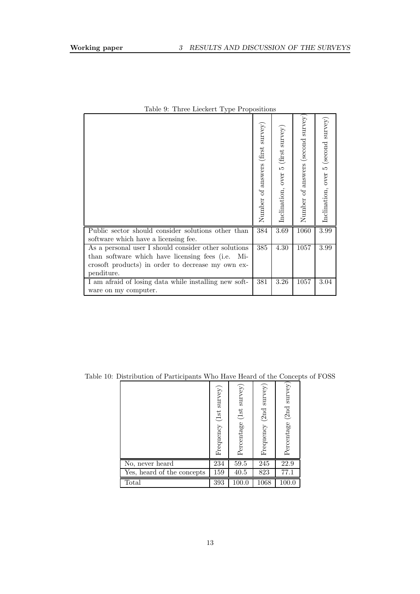|                                                       | (first survey)<br>answers<br>Number of | (first survey)<br>Inclination, over 5 | $s$ urvey $)$<br>(second<br>answers<br>Number of | (second survey)<br>Inclination, over 5 |
|-------------------------------------------------------|----------------------------------------|---------------------------------------|--------------------------------------------------|----------------------------------------|
| Public sector should consider solutions other than    | 384                                    | 3.69                                  | 1060                                             | 3.99                                   |
| software which have a licensing fee.                  |                                        |                                       |                                                  |                                        |
| As a personal user I should consider other solutions  | 385                                    | 4.30                                  | 1057                                             | 3.99                                   |
| than software which have licensing fees (i.e.<br>Mi-  |                                        |                                       |                                                  |                                        |
| crosoft products) in order to decrease my own ex-     |                                        |                                       |                                                  |                                        |
| penditure.                                            |                                        |                                       |                                                  |                                        |
| I am afraid of losing data while installing new soft- | 381                                    | 3.26                                  | 1057                                             | 3.04                                   |
| ware on my computer.                                  |                                        |                                       |                                                  |                                        |

Table 9: Three Lieckert Type Propositions

|                            | $s$ urvey $)$<br>Frequency (1st | Percentage (1st survey) | $s_{\text{urvey}}$<br>(2nd)<br>Frequency | $s$ urvey $)$<br>Percentage (2nd |
|----------------------------|---------------------------------|-------------------------|------------------------------------------|----------------------------------|
| No, never heard            | 234                             | 59.5                    | 245                                      | 22.9                             |
| Yes, heard of the concepts | 159                             | 40.5                    | 823                                      | 77.1                             |
| Total                      | 393                             | 100.0                   | 1068                                     | 100.0                            |

Table 10: Distribution of Participants Who Have Heard of the Concepts of FOSS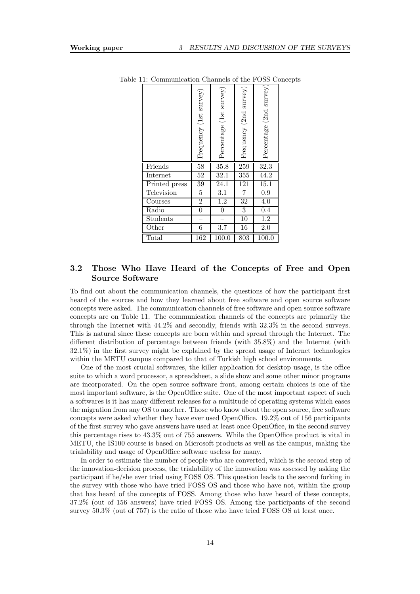|               | Frequency $(\text{1st survey})$ | Percentage (1st survey) | Frequency (2nd survey) | Percentage (2nd survey) |
|---------------|---------------------------------|-------------------------|------------------------|-------------------------|
| Friends       | 58                              | 35.8                    | 259                    | 32.3                    |
| Internet      | $\overline{52}$                 | 32.1                    | 355                    | 44.2                    |
| Printed press | 39                              | 24.1                    | 121                    | $\overline{15.1}$       |
| Television    | $\overline{5}$                  | $\overline{3.1}$        | $\overline{7}$         | 0.9                     |
| Courses       | $\overline{2}$                  | $\overline{1.2}$        | 32                     | $\overline{4.0}$        |
| Radio         | $\boldsymbol{0}$                | $\boldsymbol{0}$        | $\overline{3}$         | 0.4                     |
| Students      |                                 |                         | $\overline{10}$        | 1.2                     |
| Other         | 6                               | 3.7                     | 16                     | $\overline{2.0}$        |
| Total         | 162                             | 100.0                   | 803                    | 100.0                   |

Table 11: Communication Channels of the FOSS Concepts

## 3.2 Those Who Have Heard of the Concepts of Free and Open Source Software

To find out about the communication channels, the questions of how the participant first heard of the sources and how they learned about free software and open source software concepts were asked. The communication channels of free software and open source software concepts are on Table 11. The communication channels of the concepts are primarily the through the Internet with 44.2% and secondly, friends with 32.3% in the second surveys. This is natural since these concepts are born within and spread through the Internet. The different distribution of percentage between friends (with 35.8%) and the Internet (with 32.1%) in the first survey might be explained by the spread usage of Internet technologies within the METU campus compared to that of Turkish high school environments.

One of the most crucial softwares, the killer application for desktop usage, is the office suite to which a word processor, a spreadsheet, a slide show and some other minor programs are incorporated. On the open source software front, among certain choices is one of the most important software, is the OpenOffice suite. One of the most important aspect of such a softwares is it has many different releases for a multitude of operating systems which eases the migration from any OS to another. Those who know about the open source, free software concepts were asked whether they have ever used OpenOffice. 19.2% out of 156 participants of the first survey who gave answers have used at least once OpenOfice, in the second survey this percentage rises to 43.3% out of 755 answers. While the OpenOffice product is vital in METU, the IS100 course is based on Microsoft products as well as the campus, making the trialability and usage of OpenOffice software useless for many.

In order to estimate the number of people who are converted, which is the second step of the innovation-decision process, the trialability of the innovation was assessed by asking the participant if he/she ever tried using FOSS OS. This question leads to the second forking in the survey with those who have tried FOSS OS and those who have not, within the group that has heard of the concepts of FOSS. Among those who have heard of these concepts, 37.2% (out of 156 answers) have tried FOSS OS. Among the participants of the second survey 50.3% (out of 757) is the ratio of those who have tried FOSS OS at least once.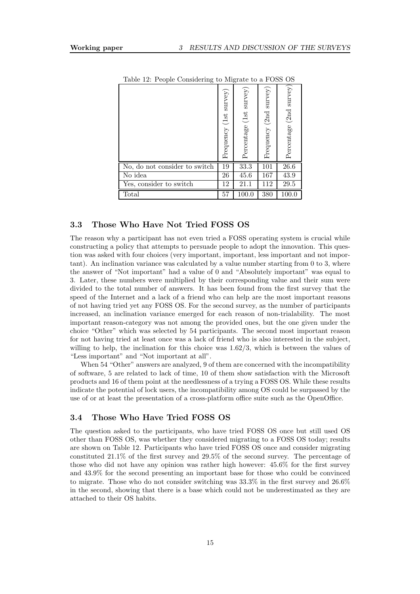| Lable 12. I copie Considering to migrate to a POSS OS |                                     |                                  |                              |                         |  |  |
|-------------------------------------------------------|-------------------------------------|----------------------------------|------------------------------|-------------------------|--|--|
|                                                       | $s$ urvey $)$<br>(1st)<br>Frequency | $s$ urvey $)$<br>Percentage (1st | $s$ urvey)<br>Frequency (2nd | Percentage (2nd survey) |  |  |
| No, do not consider to switch                         | 19                                  | 33.3                             | 101                          | $26.6\,$                |  |  |
| No idea                                               | 26                                  | 45.6                             | 167                          | 43.9                    |  |  |
| Yes, consider to switch                               | 12                                  | 21.1                             | 112                          | 29.5                    |  |  |
| Total                                                 | 57                                  | 100.0                            | 380                          | 100.0                   |  |  |

Table 12: People Considering to Migrate to a FOSS OS

### 3.3 Those Who Have Not Tried FOSS OS

The reason why a participant has not even tried a FOSS operating system is crucial while constructing a policy that attempts to persuade people to adopt the innovation. This question was asked with four choices (very important, important, less important and not important). An inclination variance was calculated by a value number starting from 0 to 3, where the answer of "Not important" had a value of 0 and "Absolutely important" was equal to 3. Later, these numbers were multiplied by their corresponding value and their sum were divided to the total number of answers. It has been found from the first survey that the speed of the Internet and a lack of a friend who can help are the most important reasons of not having tried yet any FOSS OS. For the second survey, as the number of participants increased, an inclination variance emerged for each reason of non-trialability. The most important reason-category was not among the provided ones, but the one given under the choice "Other" which was selected by 54 participants. The second most important reason for not having tried at least once was a lack of friend who is also interested in the subject, willing to help, the inclination for this choice was 1.62/3, which is between the values of "Less important" and "Not important at all".

When 54 "Other" answers are analyzed, 9 of them are concerned with the incompatibility of software, 5 are related to lack of time, 10 of them show satisfaction with the Microsoft products and 16 of them point at the needlessness of a trying a FOSS OS. While these results indicate the potential of lock users, the incompatibility among OS could be surpassed by the use of or at least the presentation of a cross-platform office suite such as the OpenOffice.

#### 3.4 Those Who Have Tried FOSS OS

The question asked to the participants, who have tried FOSS OS once but still used OS other than FOSS OS, was whether they considered migrating to a FOSS OS today; results are shown on Table 12. Participants who have tried FOSS OS once and consider migrating constituted 21.1% of the first survey and 29.5% of the second survey. The percentage of those who did not have any opinion was rather high however: 45.6% for the first survey and 43.9% for the second presenting an important base for those who could be convinced to migrate. Those who do not consider switching was 33.3% in the first survey and 26.6% in the second, showing that there is a base which could not be underestimated as they are attached to their OS habits.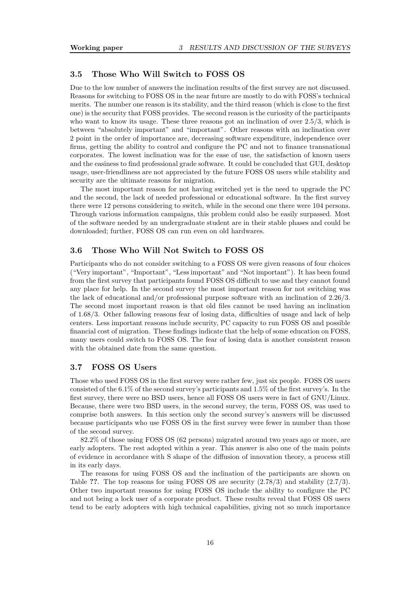#### 3.5 Those Who Will Switch to FOSS OS

Due to the low number of answers the inclination results of the first survey are not discussed. Reasons for switching to FOSS OS in the near future are mostly to do with FOSS's technical merits. The number one reason is its stability, and the third reason (which is close to the first one) is the security that FOSS provides. The second reason is the curiosity of the participants who want to know its usage. These three reasons got an inclination of over 2.5/3, which is between "absolutely important" and "important". Other reasons with an inclination over 2 point in the order of importance are, decreasing software expenditure, independence over firms, getting the ability to control and configure the PC and not to finance transnational corporates. The lowest inclination was for the ease of use, the satisfaction of known users and the easiness to find professional grade software. It could be concluded that GUI, desktop usage, user-friendliness are not appreciated by the future FOSS OS users while stability and security are the ultimate reasons for migration.

The most important reason for not having switched yet is the need to upgrade the PC and the second, the lack of needed professional or educational software. In the first survey there were 12 persons considering to switch, while in the second one there were 104 persons. Through various information campaigns, this problem could also be easily surpassed. Most of the software needed by an undergraduate student are in their stable phases and could be downloaded; further, FOSS OS can run even on old hardwares.

### 3.6 Those Who Will Not Switch to FOSS OS

Participants who do not consider switching to a FOSS OS were given reasons of four choices ("Very important", "Important", "Less important" and "Not important"). It has been found from the first survey that participants found FOSS OS difficult to use and they cannot found any place for help. In the second survey the most important reason for not switching was the lack of educational and/or professional purpose software with an inclination of 2.26/3. The second most important reason is that old files cannot be used having an inclination of 1.68/3. Other fallowing reasons fear of losing data, difficulties of usage and lack of help centers. Less important reasons include security, PC capacity to run FOSS OS and possible financial cost of migration. These findings indicate that the help of some education on FOSS, many users could switch to FOSS OS. The fear of losing data is another consistent reason with the obtained date from the same question.

#### 3.7 FOSS OS Users

Those who used FOSS OS in the first survey were rather few, just six people. FOSS OS users consisted of the 6.1% of the second survey's participants and 1.5% of the first survey's. In the first survey, there were no BSD users, hence all FOSS OS users were in fact of GNU/Linux. Because, there were two BSD users, in the second survey, the term, FOSS OS, was used to comprise both answers. In this section only the second survey's answers will be discussed because participants who use FOSS OS in the first survey were fewer in number than those of the second survey.

82.2% of those using FOSS OS (62 persons) migrated around two years ago or more, are early adopters. The rest adopted within a year. This answer is also one of the main points of evidence in accordance with S shape of the diffusion of innovation theory, a process still in its early days.

The reasons for using FOSS OS and the inclination of the participants are shown on Table ??. The top reasons for using FOSS OS are security  $(2.78/3)$  and stability  $(2.7/3)$ . Other two important reasons for using FOSS OS include the ability to configure the PC and not being a lock user of a corporate product. These results reveal that FOSS OS users tend to be early adopters with high technical capabilities, giving not so much importance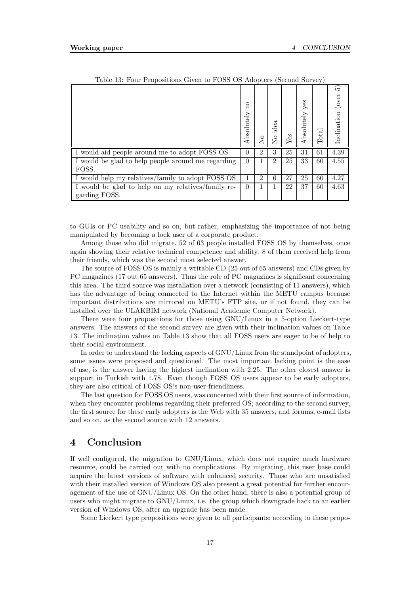|                                                    |                                       |                |                   |     |                   | $\cdot$ |                         |
|----------------------------------------------------|---------------------------------------|----------------|-------------------|-----|-------------------|---------|-------------------------|
|                                                    | $\overline{\mathrm{n}}$<br>Absolutely | ş              | idea<br>$\approx$ | Yes | yes<br>Absolutely | Total   | 5)<br>Inclination (over |
| I would aid people around me to adopt FOSS OS.     | $\Omega$                              | $\mathfrak{D}$ | 3                 | 25  | 31                | 61      | 4.39                    |
| I would be glad to help people around me regarding | $\Omega$                              |                | $\overline{2}$    | 25  | 33                | 60      | 4.55                    |
| FOSS.                                              |                                       |                |                   |     |                   |         |                         |
| I would help my relatives/family to adopt FOSS OS  |                                       | 2              | 6                 | 27  | 25                | 60      | 4.27                    |
| I would be glad to help on my relatives/family re- | $\Omega$                              |                |                   | 22  | 37                | 60      | 4.63                    |
| garding FOSS.                                      |                                       |                |                   |     |                   |         |                         |

Table 13: Four Propositions Given to FOSS OS Adopters (Second Survey)

to GUIs or PC usability and so on, but rather, emphasizing the importance of not being manipulated by becoming a lock user of a corporate product.

Among those who did migrate, 52 of 63 people installed FOSS OS by themselves, once again showing their relative technical competence and ability. 8 of them received help from their friends, which was the second most selected answer.

The source of FOSS OS is mainly a writable CD (25 out of 65 answers) and CDs given by PC magazines (17 out 65 answers). Thus the role of PC magazines is significant concerning this area. The third source was installation over a network (consisting of 11 answers), which has the advantage of being connected to the Internet within the METU campus because important distributions are mirrored on METU's FTP site, or if not found, they can be installed over the ULAKBIM network (National Academic Computer Network).

There were four propositions for those using GNU/Linux in a 5-option Lieckert-type answers. The answers of the second survey are given with their inclination values on Table 13. The inclination values on Table 13 show that all FOSS users are eager to be of help to their social environment.

In order to understand the lacking aspects of GNU/Linux from the standpoint of adopters, some issues were proposed and questioned. The most important lacking point is the ease of use, is the answer having the highest inclination with 2.25. The other closest answer is support in Turkish with 1.78. Even though FOSS OS users appear to be early adopters, they are also critical of FOSS OS's non-user-friendliness.

The last question for FOSS OS users, was concerned with their first source of information, when they encounter problems regarding their preferred OS; according to the second survey, the first source for these early adopters is the Web with 35 answers, and forums, e-mail lists and so on, as the second source with 12 answers.

## 4 Conclusion

If well configured, the migration to GNU/Linux, which does not require much hardware resource, could be carried out with no complications. By migrating, this user base could acquire the latest versions of software with enhanced security. Those who are unsatisfied with their installed version of Windows OS also present a great potential for further encouragement of the use of GNU/Linux OS. On the other hand, there is also a potential group of users who might migrate to GNU/Linux, i.e. the group which downgrade back to an earlier version of Windows OS, after an upgrade has been made.

Some Lieckert type propositions were given to all participants; according to these propo-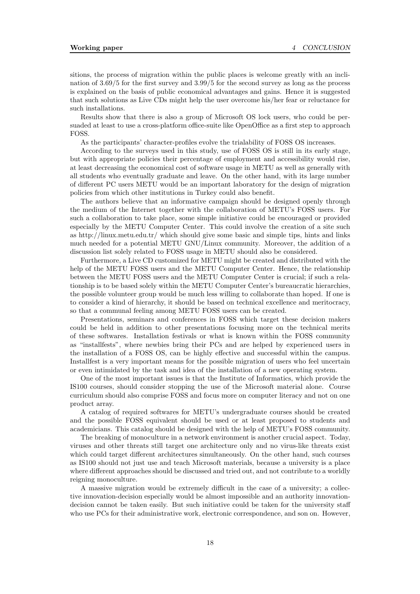sitions, the process of migration within the public places is welcome greatly with an inclination of 3.69/5 for the first survey and 3.99/5 for the second survey as long as the process is explained on the basis of public economical advantages and gains. Hence it is suggested that such solutions as Live CDs might help the user overcome his/her fear or reluctance for such installations.

Results show that there is also a group of Microsoft OS lock users, who could be persuaded at least to use a cross-platform office-suite like OpenOffice as a first step to approach FOSS.

As the participants' character-profiles evolve the trialability of FOSS OS increases.

According to the surveys used in this study, use of FOSS OS is still in its early stage, but with appropriate policies their percentage of employment and accessibility would rise, at least decreasing the economical cost of software usage in METU as well as generally with all students who eventually graduate and leave. On the other hand, with its large number of different PC users METU would be an important laboratory for the design of migration policies from which other institutions in Turkey could also benefit.

The authors believe that an informative campaign should be designed openly through the medium of the Internet together with the collaboration of METU's FOSS users. For such a collaboration to take place, some simple initiative could be encouraged or provided especially by the METU Computer Center. This could involve the creation of a site such as http://linux.metu.edu.tr/ which should give some basic and simple tips, hints and links much needed for a potential METU GNU/Linux community. Moreover, the addition of a discussion list solely related to FOSS usage in METU should also be considered.

Furthermore, a Live CD customized for METU might be created and distributed with the help of the METU FOSS users and the METU Computer Center. Hence, the relationship between the METU FOSS users and the METU Computer Center is crucial; if such a relationship is to be based solely within the METU Computer Center's bureaucratic hierarchies, the possible volunteer group would be much less willing to collaborate than hoped. If one is to consider a kind of hierarchy, it should be based on technical excellence and meritocracy, so that a communal feeling among METU FOSS users can be created.

Presentations, seminars and conferences in FOSS which target these decision makers could be held in addition to other presentations focusing more on the technical merits of these softwares. Installation festivals or what is known within the FOSS community as "installfests", where newbies bring their PCs and are helped by experienced users in the installation of a FOSS OS, can be highly effective and successful within the campus. Installfest is a very important means for the possible migration of users who feel uncertain or even intimidated by the task and idea of the installation of a new operating system.

One of the most important issues is that the Institute of Informatics, which provide the IS100 courses, should consider stopping the use of the Microsoft material alone. Course curriculum should also comprise FOSS and focus more on computer literacy and not on one product array.

A catalog of required softwares for METU's undergraduate courses should be created and the possible FOSS equivalent should be used or at least proposed to students and academicians. This catalog should be designed with the help of METU's FOSS community.

The breaking of monoculture in a network environment is another crucial aspect. Today, viruses and other threats still target one architecture only and no virus-like threats exist which could target different architectures simultaneously. On the other hand, such courses as IS100 should not just use and teach Microsoft materials, because a university is a place where different approaches should be discussed and tried out, and not contribute to a worldly reigning monoculture.

A massive migration would be extremely difficult in the case of a university; a collective innovation-decision especially would be almost impossible and an authority innovationdecision cannot be taken easily. But such initiative could be taken for the university staff who use PCs for their administrative work, electronic correspondence, and son on. However,